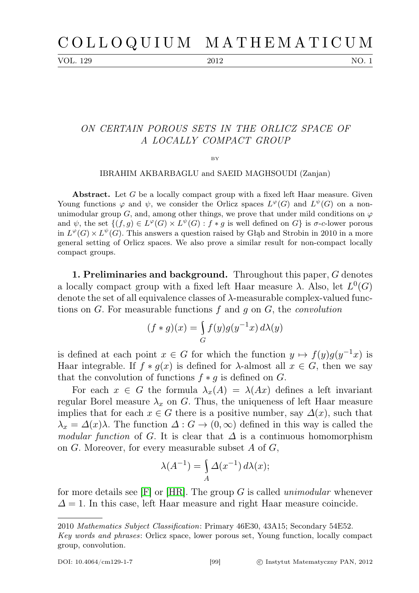VOL. 129 2012 NO. 1

## ON CERTAIN POROUS SETS IN THE ORLICZ SPACE OF A LOCALLY COMPACT GROUP

BY

IBRAHIM AKBARBAGLU and SAEID MAGHSOUDI (Zanjan)

Abstract. Let G be a locally compact group with a fixed left Haar measure. Given Young functions  $\varphi$  and  $\psi$ , we consider the Orlicz spaces  $L^{\varphi}(G)$  and  $L^{\psi}(G)$  on a nonunimodular group G, and, among other things, we prove that under mild conditions on  $\varphi$ and  $\psi$ , the set  $\{(f,g) \in L^{\varphi}(G) \times L^{\psi}(G) : f * g$  is well defined on  $G\}$  is  $\sigma$ -c-lower porous in  $L^{\varphi}(G) \times L^{\psi}(G)$ . This answers a question raised by Głąb and Strobin in 2010 in a more general setting of Orlicz spaces. We also prove a similar result for non-compact locally compact groups.

**1. Preliminaries and background.** Throughout this paper, G denotes a locally compact group with a fixed left Haar measure  $\lambda$ . Also, let  $L^0(G)$ denote the set of all equivalence classes of  $\lambda$ -measurable complex-valued functions on  $G$ . For measurable functions  $f$  and  $g$  on  $G$ , the *convolution* 

$$
(f*g)(x) = \int_G f(y)g(y^{-1}x) d\lambda(y)
$$

is defined at each point  $x \in G$  for which the function  $y \mapsto f(y)g(y^{-1}x)$  is Haar integrable. If  $f * g(x)$  is defined for  $\lambda$ -almost all  $x \in G$ , then we say that the convolution of functions  $f * g$  is defined on G.

For each  $x \in G$  the formula  $\lambda_x(A) = \lambda(Ax)$  defines a left invariant regular Borel measure  $\lambda_x$  on G. Thus, the uniqueness of left Haar measure implies that for each  $x \in G$  there is a positive number, say  $\Delta(x)$ , such that  $\lambda_x = \Delta(x)\lambda$ . The function  $\Delta: G \to (0,\infty)$  defined in this way is called the modular function of G. It is clear that  $\Delta$  is a continuous homomorphism on  $G$ . Moreover, for every measurable subset  $A$  of  $G$ ,

$$
\lambda(A^{-1}) = \int_A \Delta(x^{-1}) \, d\lambda(x);
$$

for more details see  $[F]$  or  $[HR]$ . The group G is called *unimodular* whenever  $\Delta = 1$ . In this case, left Haar measure and right Haar measure coincide.

<sup>2010</sup> Mathematics Subject Classification: Primary 46E30, 43A15; Secondary 54E52. Key words and phrases: Orlicz space, lower porous set, Young function, locally compact group, convolution.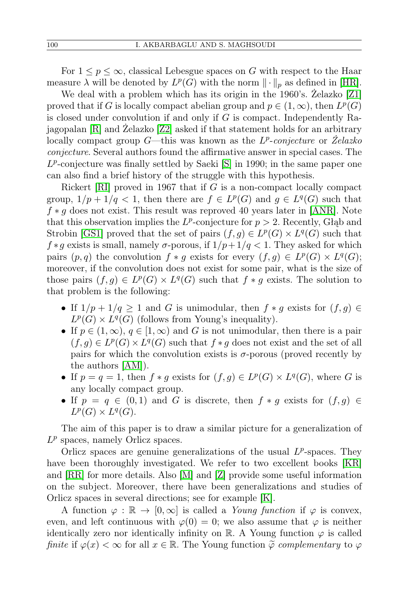For  $1 \leq p \leq \infty$ , classical Lebesgue spaces on G with respect to the Haar measure  $\lambda$  will be denoted by  $L^p(G)$  with the norm  $\|\cdot\|_p$  as defined in [\[HR\]](#page-12-1).

We deal with a problem which has its origin in the 1960's. Żelazko [\[Z1\]](#page-12-2) proved that if G is locally compact abelian group and  $p \in (1,\infty)$ , then  $L^p(G)$ is closed under convolution if and only if  $G$  is compact. Independently Rajagopalan [\[R\]](#page-12-3) and Żelazko [\[Z2\]](#page-12-4) asked if that statement holds for an arbitrary locally compact group  $G$ —this was known as the  $L^p$ -conjecture or  $\dot{Z}$ elazko conjecture. Several authors found the affirmative answer in special cases. The  $L^p$ -conjecture was finally settled by Saeki [\[S\]](#page-12-5) in 1990; in the same paper one can also find a brief history of the struggle with this hypothesis.

Rickert [\[RI\]](#page-12-6) proved in 1967 that if G is a non-compact locally compact group,  $1/p + 1/q < 1$ , then there are  $f \in L^p(G)$  and  $g \in L^q(G)$  such that  $f * g$  does not exist. This result was reproved 40 years later in [\[ANR\]](#page-12-7). Note that this observation implies the  $L^p$ -conjecture for  $p > 2$ . Recently, Głąb and Strobin [\[GS1\]](#page-12-8) proved that the set of pairs  $(f, g) \in L^p(G) \times L^q(G)$  such that  $f * g$  exists is small, namely  $\sigma$ -porous, if  $1/p + 1/q < 1$ . They asked for which pairs  $(p, q)$  the convolution  $f * g$  exists for every  $(f, g) \in L^p(G) \times L^q(G);$ moreover, if the convolution does not exist for some pair, what is the size of those pairs  $(f,g) \in L^p(G) \times L^q(G)$  such that  $f * g$  exists. The solution to that problem is the following:

- If  $1/p + 1/q \geq 1$  and G is unimodular, then  $f * g$  exists for  $(f, g) \in$  $L^p(G) \times L^q(G)$  (follows from Young's inequality).
- If  $p \in (1,\infty)$ ,  $q \in [1,\infty)$  and G is not unimodular, then there is a pair  $(f,g) \in L^p(G) \times L^q(G)$  such that  $f * g$  does not exist and the set of all pairs for which the convolution exists is  $\sigma$ -porous (proved recently by the authors [\[AM\]](#page-12-9)).
- If  $p = q = 1$ , then  $f * g$  exists for  $(f,g) \in L^p(G) \times L^q(G)$ , where G is any locally compact group.
- If  $p = q \in (0, 1)$  and G is discrete, then  $f * g$  exists for  $(f, g) \in$  $L^p(G) \times L^q(G)$ .

The aim of this paper is to draw a similar picture for a generalization of  $L^p$  spaces, namely Orlicz spaces.

Orlicz spaces are genuine generalizations of the usual  $L^p$ -spaces. They have been thoroughly investigated. We refer to two excellent books [\[KR\]](#page-12-10) and [\[RR\]](#page-12-11) for more details. Also [\[M\]](#page-12-12) and [\[Z\]](#page-12-13) provide some useful information on the subject. Moreover, there have been generalizations and studies of Orlicz spaces in several directions; see for example [\[K\]](#page-12-14).

A function  $\varphi : \mathbb{R} \to [0, \infty]$  is called a *Young function* if  $\varphi$  is convex, even, and left continuous with  $\varphi(0) = 0$ ; we also assume that  $\varphi$  is neither identically zero nor identically infinity on R. A Young function  $\varphi$  is called finite if  $\varphi(x) < \infty$  for all  $x \in \mathbb{R}$ . The Young function  $\tilde{\varphi}$  complementary to  $\varphi$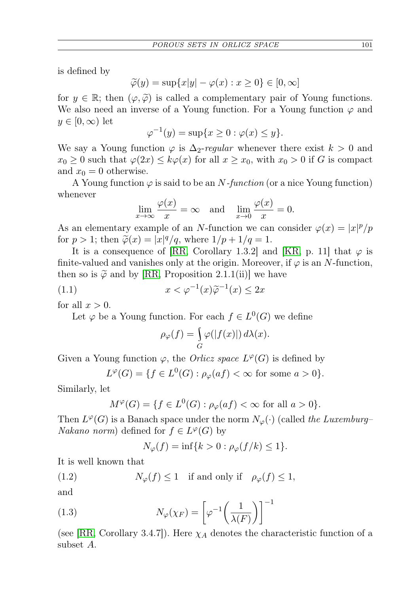is defined by

$$
\widetilde{\varphi}(y) = \sup\{x|y| - \varphi(x) : x \ge 0\} \in [0, \infty]
$$

for  $y \in \mathbb{R}$ ; then  $(\varphi, \tilde{\varphi})$  is called a complementary pair of Young functions. We also need an inverse of a Young function. For a Young function  $\varphi$  and  $y \in [0, \infty)$  let

$$
\varphi^{-1}(y) = \sup\{x \ge 0 : \varphi(x) \le y\}.
$$

We say a Young function  $\varphi$  is  $\Delta_2$ -regular whenever there exist  $k > 0$  and  $x_0 \geq 0$  such that  $\varphi(2x) \leq k\varphi(x)$  for all  $x \geq x_0$ , with  $x_0 > 0$  if G is compact and  $x_0 = 0$  otherwise.

A Young function  $\varphi$  is said to be an N-function (or a nice Young function) whenever

$$
\lim_{x \to \infty} \frac{\varphi(x)}{x} = \infty \quad \text{and} \quad \lim_{x \to 0} \frac{\varphi(x)}{x} = 0.
$$

As an elementary example of an N-function we can consider  $\varphi(x) = |x|^p/p$ for  $p > 1$ ; then  $\tilde{\varphi}(x) = |x|^q/q$ , where  $1/p + 1/q = 1$ .<br>It is a consequence of IBB. Corollary 1.3.20 and

It is a consequence of [\[RR,](#page-12-11) Corollary 1.3.2] and [\[KR,](#page-12-10) p. 11] that  $\varphi$  is finite-valued and vanishes only at the origin. Moreover, if  $\varphi$  is an N-function, then so is  $\tilde{\varphi}$  and by [\[RR,](#page-12-11) Proposition 2.1.1(ii)] we have

$$
(1.1)\qquad \qquad x < \varphi^{-1}(x)\widetilde{\varphi}^{-1}(x) \le 2x
$$

for all  $x > 0$ .

Let  $\varphi$  be a Young function. For each  $f \in L^0(G)$  we define

<span id="page-2-0"></span>
$$
\rho_{\varphi}(f) = \int_{G} \varphi(|f(x)|) d\lambda(x).
$$

Given a Young function  $\varphi$ , the *Orlicz space*  $L^{\varphi}(G)$  is defined by

$$
L^{\varphi}(G) = \{ f \in L^0(G) : \rho_{\varphi}(af) < \infty \text{ for some } a > 0 \}.
$$

Similarly, let

$$
M^{\varphi}(G) = \{ f \in L^0(G) : \rho_{\varphi}(af) < \infty \text{ for all } a > 0 \}.
$$

Then  $L^{\varphi}(G)$  is a Banach space under the norm  $N_{\varphi}(\cdot)$  (called the Luxemburg-*Nakano norm*) defined for  $f \in L^{\varphi}(G)$  by

<span id="page-2-2"></span><span id="page-2-1"></span>
$$
N_{\varphi}(f) = \inf\{k > 0 : \rho_{\varphi}(f/k) \le 1\}.
$$

It is well known that

(1.2) 
$$
N_{\varphi}(f) \le 1
$$
 if and only if  $\rho_{\varphi}(f) \le 1$ ,

and

(1.3) 
$$
N_{\varphi}(\chi_F) = \left[\varphi^{-1}\left(\frac{1}{\lambda(F)}\right)\right]^{-1}
$$

(see [\[RR,](#page-12-11) Corollary 3.4.7]). Here  $\chi_A$  denotes the characteristic function of a subset A.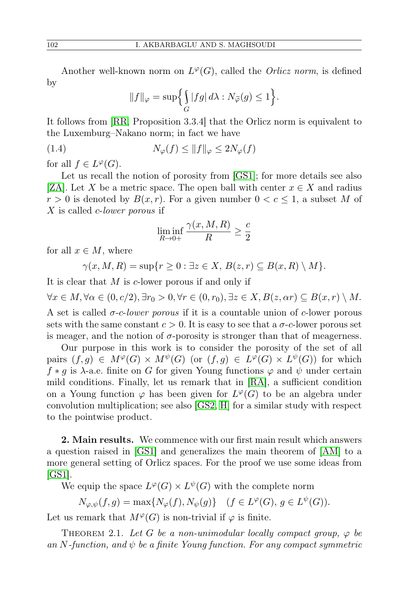Another well-known norm on  $L^{\varphi}(G)$ , called the *Orlicz norm*, is defined by

<span id="page-3-0"></span>
$$
||f||_{\varphi} = \sup \left\{ \int_G |fg| \, d\lambda : N_{\widetilde{\varphi}}(g) \le 1 \right\}.
$$

It follows from [\[RR,](#page-12-11) Proposition 3.3.4] that the Orlicz norm is equivalent to the Luxemburg–Nakano norm; in fact we have

(1.4)  $N_{\varphi}(f) \leq ||f||_{\varphi} \leq 2N_{\varphi}(f)$ 

for all  $f \in L^{\varphi}(G)$ .

Let us recall the notion of porosity from [\[GS1\]](#page-12-8); for more details see also [\[ZA\]](#page-12-15). Let X be a metric space. The open ball with center  $x \in X$  and radius  $r > 0$  is denoted by  $B(x, r)$ . For a given number  $0 < c \leq 1$ , a subset M of X is called c-lower porous if

$$
\liminf_{R \to 0+} \frac{\gamma(x, M, R)}{R} \ge \frac{c}{2}
$$

for all  $x \in M$ , where

 $\gamma(x, M, R) = \sup\{r \geq 0 : \exists z \in X, B(z, r) \subseteq B(x, R) \setminus M\}.$ 

It is clear that  $M$  is  $c$ -lower porous if and only if

 $\forall x \in M, \forall \alpha \in (0, c/2), \exists r_0 > 0, \forall r \in (0, r_0), \exists z \in X, B(z, \alpha r) \subseteq B(x, r) \setminus M.$ 

A set is called  $\sigma$ -*c*-lower porous if it is a countable union of *c*-lower porous sets with the same constant  $c > 0$ . It is easy to see that a  $\sigma$ -c-lower porous set is meager, and the notion of  $\sigma$ -porosity is stronger than that of meagerness.

Our purpose in this work is to consider the porosity of the set of all pairs  $(f,g) \in M^{\varphi}(G) \times M^{\psi}(G)$  (or  $(f,g) \in L^{\varphi}(G) \times L^{\psi}(G)$ ) for which  $f * q$  is  $\lambda$ -a.e. finite on G for given Young functions  $\varphi$  and  $\psi$  under certain mild conditions. Finally, let us remark that in [\[RA\]](#page-12-16), a sufficient condition on a Young function  $\varphi$  has been given for  $L^{\varphi}(G)$  to be an algebra under convolution multiplication; see also [\[GS2,](#page-12-17) [H\]](#page-12-18) for a similar study with respect to the pointwise product.

2. Main results. We commence with our first main result which answers a question raised in [\[GS1\]](#page-12-8) and generalizes the main theorem of [\[AM\]](#page-12-9) to a more general setting of Orlicz spaces. For the proof we use some ideas from [\[GS1\]](#page-12-8).

We equip the space  $L^{\varphi}(G) \times L^{\psi}(G)$  with the complete norm

$$
N_{\varphi,\psi}(f,g) = \max\{N_{\varphi}(f), N_{\psi}(g)\} \quad (f \in L^{\varphi}(G), g \in L^{\psi}(G)).
$$

Let us remark that  $M^{\varphi}(G)$  is non-trivial if  $\varphi$  is finite.

<span id="page-3-1"></span>THEOREM 2.1. Let G be a non-unimodular locally compact group,  $\varphi$  be an N-function, and  $\psi$  be a finite Young function. For any compact symmetric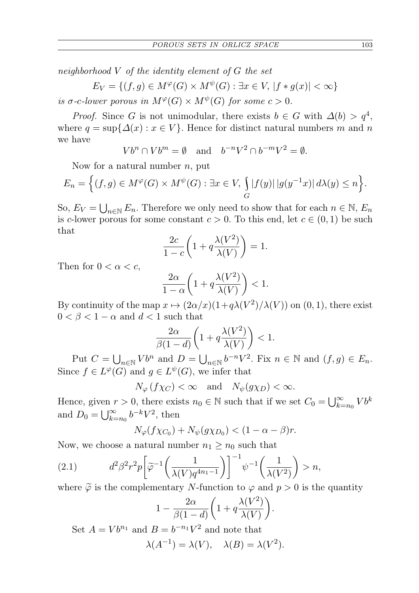neighborhood  $V$  of the identity element of  $G$  the set

$$
E_V = \{(f, g) \in M^{\varphi}(G) \times M^{\psi}(G) : \exists x \in V, |f * g(x)| < \infty\}
$$

is  $\sigma$ -c-lower porous in  $M^{\varphi}(G) \times M^{\psi}(G)$  for some  $c > 0$ .

*Proof.* Since G is not unimodular, there exists  $b \in G$  with  $\Delta(b) > q^4$ , where  $q = \sup\{\Delta(x) : x \in V\}$ . Hence for distinct natural numbers m and n we have

$$
Vb^n \cap Vb^m = \emptyset \quad \text{and} \quad b^{-n}V^2 \cap b^{-m}V^2 = \emptyset.
$$

Now for a natural number  $n$ , put

$$
E_n = \Big\{ (f,g) \in M^{\varphi}(G) \times M^{\psi}(G) : \exists x \in V, \, \int_G |f(y)| \, |g(y^{-1}x)| \, d\lambda(y) \le n \Big\}.
$$

So,  $E_V = \bigcup_{n \in \mathbb{N}} E_n$ . Therefore we only need to show that for each  $n \in \mathbb{N}$ ,  $E_n$ is c-lower porous for some constant  $c > 0$ . To this end, let  $c \in (0,1)$  be such that

$$
\frac{2c}{1-c}\bigg(1+q\frac{\lambda(V^2)}{\lambda(V)}\bigg)=1.
$$

Then for  $0 < \alpha < c$ ,

$$
\frac{2\alpha}{1-\alpha}\bigg(1+q\frac{\lambda(V^2)}{\lambda(V)}\bigg) < 1.
$$

By continuity of the map  $x \mapsto (2\alpha/x)(1+q\lambda(V^2)/\lambda(V))$  on  $(0, 1)$ , there exist  $0 < \beta < 1 - \alpha$  and  $d < 1$  such that

$$
\frac{2\alpha}{\beta(1-d)} \bigg( 1 + q \frac{\lambda(V^2)}{\lambda(V)} \bigg) < 1.
$$

Put  $C = \bigcup_{n \in \mathbb{N}} V b^n$  and  $D = \bigcup_{n \in \mathbb{N}} b^{-n} V^2$ . Fix  $n \in \mathbb{N}$  and  $(f, g) \in E_n$ . Since  $f \in L^{\varphi}(G)$  and  $g \in L^{\psi}(G)$ , we infer that

$$
N_{\varphi}(f\chi_C) < \infty
$$
 and  $N_{\psi}(g\chi_D) < \infty$ .

Hence, given  $r > 0$ , there exists  $n_0 \in \mathbb{N}$  such that if we set  $C_0 = \bigcup_{k=n_0}^{\infty} V b^k$ and  $D_0 = \bigcup_{k=n_0}^{\infty} b^{-k} V^2$ , then

<span id="page-4-0"></span>
$$
N_{\varphi}(f\chi_{C_0})+N_{\psi}(g\chi_{D_0})<(1-\alpha-\beta)r.
$$

Now, we choose a natural number  $n_1 \geq n_0$  such that

$$
(2.1) \t d2 \beta2 r2 p \left[ \tilde{\varphi}^{-1} \left( \frac{1}{\lambda(V) q^{4n_1 - 1}} \right) \right]^{-1} \psi^{-1} \left( \frac{1}{\lambda(V^2)} \right) > n,
$$

where  $\tilde{\varphi}$  is the complementary N-function to  $\varphi$  and  $p > 0$  is the quantity

$$
1 - \frac{2\alpha}{\beta(1-d)} \bigg( 1 + q \frac{\lambda(V^2)}{\lambda(V)} \bigg).
$$

Set  $A = Vb^{n_1}$  and  $B = b^{-n_1}V^2$  and note that  $\lambda(A^{-1}) = \lambda(V), \quad \lambda(B) = \lambda(V^2).$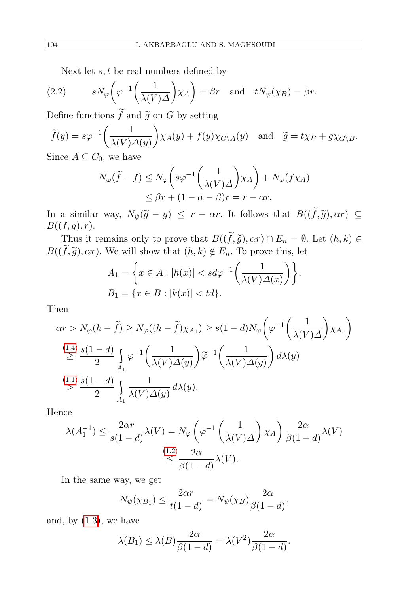<span id="page-5-0"></span>Next let  $s, t$  be real numbers defined by

(2.2) 
$$
sN_{\varphi}\left(\varphi^{-1}\left(\frac{1}{\lambda(V)\Delta}\right)\chi_{A}\right) = \beta r \text{ and } tN_{\psi}(\chi_{B}) = \beta r.
$$

Define functions  $f$  and  $\widetilde{g}$  on  $G$  by setting

$$
\widetilde{f}(y) = s\varphi^{-1}\left(\frac{1}{\lambda(V)\Delta(y)}\right)\chi_A(y) + f(y)\chi_{G\setminus A}(y) \quad \text{and} \quad \widetilde{g} = t\chi_B + g\chi_{G\setminus B}.
$$

Since  $A \subseteq C_0$ , we have

$$
N_{\varphi}(\widetilde{f} - f) \le N_{\varphi}\left(s\varphi^{-1}\left(\frac{1}{\lambda(V)\Delta}\right)\chi_A\right) + N_{\varphi}(f\chi_A)
$$
  

$$
\le \beta r + (1 - \alpha - \beta)r = r - \alpha r.
$$

In a similar way,  $N_{\psi}(\tilde{g}-g) \leq r - \alpha r$ . It follows that  $B((\tilde{f},\tilde{g}), \alpha r) \subseteq$  $B((f, g), r).$ 

Thus it remains only to prove that  $B((\tilde{f},\tilde{g}),\alpha r) \cap E_n = \emptyset$ . Let  $(h,k) \in$  $B((\widetilde{f},\widetilde{g}),\alpha r)$ . We will show that  $(h, k) \notin E_n$ . To prove this, let

$$
A_1 = \left\{ x \in A : |h(x)| < s d\varphi^{-1} \left( \frac{1}{\lambda(V) \Delta(x)} \right) \right\},
$$
\n
$$
B_1 = \left\{ x \in B : |k(x)| < t d \right\}.
$$

Then

$$
\alpha r > N_{\varphi}(h - \tilde{f}) \ge N_{\varphi}((h - \tilde{f})\chi_{A_1}) \ge s(1 - d)N_{\varphi}\left(\varphi^{-1}\left(\frac{1}{\lambda(V)\Delta}\right)\chi_{A_1}\right)
$$
  

$$
\ge \frac{(1.4)}{2} \frac{s(1 - d)}{2} \int_{A_1} \varphi^{-1}\left(\frac{1}{\lambda(V)\Delta(y)}\right) \tilde{\varphi}^{-1}\left(\frac{1}{\lambda(V)\Delta(y)}\right) d\lambda(y)
$$
  

$$
\stackrel{(1.1)}{>} \frac{s(1 - d)}{2} \int_{A_1} \frac{1}{\lambda(V)\Delta(y)} d\lambda(y).
$$

Hence

$$
\lambda(A_1^{-1}) \le \frac{2\alpha r}{s(1-d)}\lambda(V) = N_{\varphi}\left(\varphi^{-1}\left(\frac{1}{\lambda(V)\Delta}\right)\chi_A\right)\frac{2\alpha}{\beta(1-d)}\lambda(V)
$$

$$
\le \frac{(1.2)}{\beta(1-d)}\lambda(V).
$$

In the same way, we get

$$
N_{\psi}(\chi_{B_1}) \le \frac{2\alpha r}{t(1-d)} = N_{\psi}(\chi_B)\frac{2\alpha}{\beta(1-d)},
$$

and, by  $(1.3)$ , we have

$$
\lambda(B_1) \le \lambda(B) \frac{2\alpha}{\beta(1-d)} = \lambda(V^2) \frac{2\alpha}{\beta(1-d)}.
$$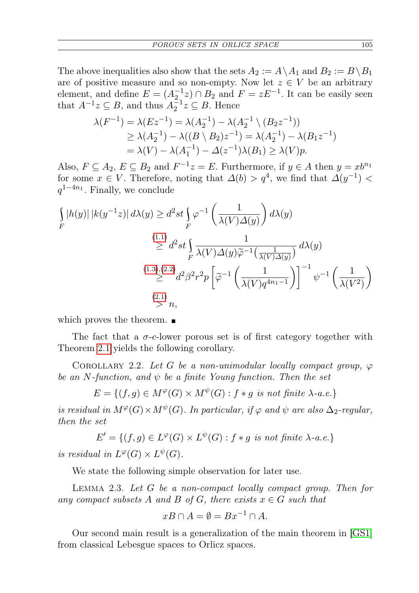The above inequalities also show that the sets  $A_2 := A \setminus A_1$  and  $B_2 := B \setminus B_1$ are of positive measure and so non-empty. Now let  $z \in V$  be an arbitrary element, and define  $E = (A_2^{-1}z) \cap B_2$  and  $F = zE^{-1}$ . It can be easily seen that  $A^{-1}z \subseteq B$ , and thus  $A_2^{-1}z \subseteq B$ . Hence

$$
\lambda(F^{-1}) = \lambda(Ez^{-1}) = \lambda(A_2^{-1}) - \lambda(A_2^{-1} \setminus (B_2z^{-1}))
$$
  
\n
$$
\geq \lambda(A_2^{-1}) - \lambda((B \setminus B_2)z^{-1}) = \lambda(A_2^{-1}) - \lambda(B_1z^{-1})
$$
  
\n
$$
= \lambda(V) - \lambda(A_1^{-1}) - \Delta(z^{-1})\lambda(B_1) \geq \lambda(V)p.
$$

Also,  $F \subseteq A_2$ ,  $E \subseteq B_2$  and  $F^{-1}z = E$ . Furthermore, if  $y \in A$  then  $y = xb^{n_1}$ for some  $x \in V$ . Therefore, noting that  $\Delta(b) > q^4$ , we find that  $\Delta(y^{-1})$  $q^{1-4n_1}$ . Finally, we conclude

$$
\int_{F} |h(y)| |k(y^{-1}z)| d\lambda(y) \ge d^2st \int_{F} \varphi^{-1}\left(\frac{1}{\lambda(V)\Delta(y)}\right) d\lambda(y)
$$
\n
$$
\ge d^2st \int_{F} \frac{1}{\lambda(V)\Delta(y)\tilde{\varphi}^{-1}\left(\frac{1}{\lambda(V)\Delta(y)}\right)} d\lambda(y)
$$
\n
$$
\stackrel{(1.3),(2.2)}{\ge} d^2\beta^2r^2p \left[\tilde{\varphi}^{-1}\left(\frac{1}{\lambda(V)q^{4n_1-1}}\right)\right]^{-1}\psi^{-1}\left(\frac{1}{\lambda(V^2)}\right)
$$
\n
$$
\stackrel{(2.1)}{>} n,
$$

which proves the theorem.  $\blacksquare$ 

The fact that a  $\sigma$ -c-lower porous set is of first category together with Theorem [2.1](#page-3-1) yields the following corollary.

COROLLARY 2.2. Let G be a non-unimodular locally compact group,  $\varphi$ be an N-function, and  $\psi$  be a finite Young function. Then the set

 $E = \{(f, g) \in M^{\varphi}(G) \times M^{\psi}(G) : f * g \text{ is not finite } \lambda \text{-a.e.}\}$ 

is residual in  $M^{\varphi}(G) \times M^{\psi}(G)$ . In particular, if  $\varphi$  and  $\psi$  are also  $\Delta_2$ -regular, then the set

$$
E' = \{(f, g) \in L^{\varphi}(G) \times L^{\psi}(G) : f * g \text{ is not finite } \lambda \text{-a.e.}\}
$$
  
is residual in  $L^{\varphi}(G) \times L^{\psi}(G)$ .

We state the following simple observation for later use.

<span id="page-6-0"></span>Lemma 2.3. Let G be a non-compact locally compact group. Then for any compact subsets A and B of G, there exists  $x \in G$  such that

$$
xB \cap A = \emptyset = Bx^{-1} \cap A.
$$

<span id="page-6-1"></span>Our second main result is a generalization of the main theorem in [\[GS1\]](#page-12-8) from classical Lebesgue spaces to Orlicz spaces.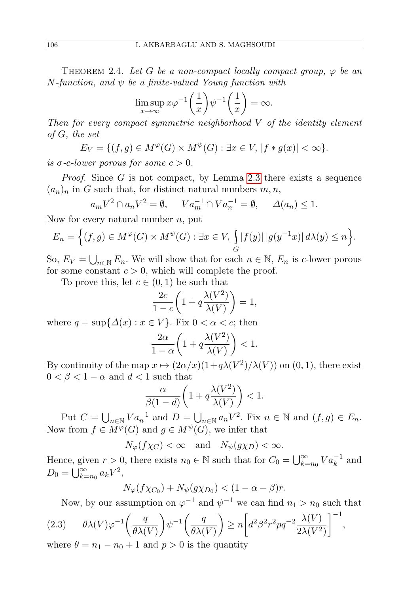THEOREM 2.4. Let G be a non-compact locally compact group,  $\varphi$  be an  $N$ -function, and  $\psi$  be a finite-valued Young function with

$$
\limsup_{x \to \infty} x \varphi^{-1} \left( \frac{1}{x} \right) \psi^{-1} \left( \frac{1}{x} \right) = \infty.
$$

Then for every compact symmetric neighborhood V of the identity element of G, the set

$$
E_V = \{ (f,g) \in M^{\varphi}(G) \times M^{\psi}(G) : \exists x \in V, |f * g(x)| < \infty \}.
$$

is  $\sigma$ -c-lower porous for some  $c > 0$ .

*Proof.* Since  $G$  is not compact, by Lemma [2.3](#page-6-0) there exists a sequence  $(a_n)_n$  in G such that, for distinct natural numbers  $m, n$ ,

$$
a_m V^2 \cap a_n V^2 = \emptyset
$$
,  $V a_m^{-1} \cap V a_n^{-1} = \emptyset$ ,  $\Delta(a_n) \le 1$ .

Now for every natural number  $n$ , put

$$
E_n = \Big\{ (f,g) \in M^{\varphi}(G) \times M^{\psi}(G) : \exists x \in V, \int_G |f(y)| |g(y^{-1}x)| d\lambda(y) \le n \Big\}.
$$

So,  $E_V = \bigcup_{n \in \mathbb{N}} E_n$ . We will show that for each  $n \in \mathbb{N}$ ,  $E_n$  is c-lower porous for some constant  $c > 0$ , which will complete the proof.

To prove this, let  $c \in (0,1)$  be such that

$$
\frac{2c}{1-c}\bigg(1+q\frac{\lambda(V^2)}{\lambda(V)}\bigg)=1,
$$

where  $q = \sup\{\Delta(x) : x \in V\}$ . Fix  $0 < \alpha < c$ ; then

$$
\frac{2\alpha}{1-\alpha}\bigg(1+q\frac{\lambda(V^2)}{\lambda(V)}\bigg) < 1.
$$

By continuity of the map  $x \mapsto (2\alpha/x)(1+q\lambda(V^2)/\lambda(V))$  on  $(0, 1)$ , there exist  $0 < \beta < 1 - \alpha$  and  $d < 1$  such that

$$
\frac{\alpha}{\beta(1-d)} \bigg( 1 + q \frac{\lambda(V^2)}{\lambda(V)} \bigg) < 1.
$$

Put  $C = \bigcup_{n \in \mathbb{N}} Va_n^{-1}$  and  $D = \bigcup_{n \in \mathbb{N}} a_n V^2$ . Fix  $n \in \mathbb{N}$  and  $(f, g) \in E_n$ . Now from  $f \in M^{\varphi}(G)$  and  $g \in M^{\psi}(G)$ , we infer that

 $N_{\varphi}(f\chi_C) < \infty$  and  $N_{\psi}(g\chi_D) < \infty$ .

Hence, given  $r > 0$ , there exists  $n_0 \in \mathbb{N}$  such that for  $C_0 = \bigcup_{k=n_0}^{\infty} Va_k^{-1}$  and  $D_0 = \bigcup_{k=n_0}^{\infty} a_k V^2,$ 

$$
N_{\varphi}(f\chi_{C_0}) + N_{\psi}(g\chi_{D_0}) < (1 - \alpha - \beta)r.
$$

<span id="page-7-0"></span>Now, by our assumption on  $\varphi^{-1}$  and  $\psi^{-1}$  we can find  $n_1 > n_0$  such that

$$
(2.3) \qquad \theta\lambda(V)\varphi^{-1}\left(\frac{q}{\theta\lambda(V)}\right)\psi^{-1}\left(\frac{q}{\theta\lambda(V)}\right) \ge n\left[d^2\beta^2r^2pq^{-2}\frac{\lambda(V)}{2\lambda(V^2)}\right]^{-1},
$$

where  $\theta = n_1 - n_0 + 1$  and  $p > 0$  is the quantity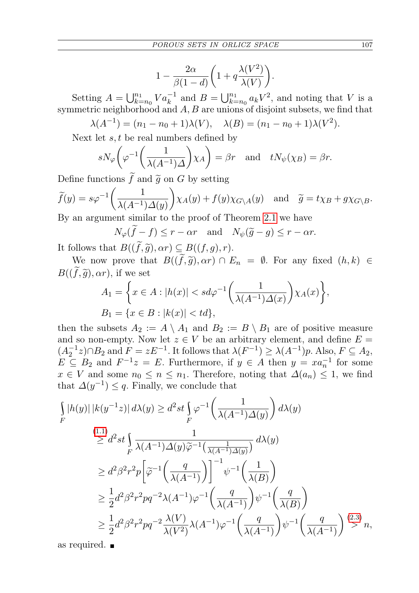$$
1 - \frac{2\alpha}{\beta(1-d)} \left( 1 + q \frac{\lambda(V^2)}{\lambda(V)} \right).
$$

Setting  $A = \bigcup_{k=n_0}^{n_1} Va_k^{-1}$  and  $B = \bigcup_{k=n_0}^{n_1} a_k V^2$ , and noting that V is a symmetric neighborhood and  $A, B$  are unions of disjoint subsets, we find that

$$
\lambda(A^{-1}) = (n_1 - n_0 + 1)\lambda(V), \quad \lambda(B) = (n_1 - n_0 + 1)\lambda(V^2).
$$

Next let  $s, t$  be real numbers defined by

$$
sN_{\varphi}\left(\varphi^{-1}\left(\frac{1}{\lambda(A^{-1})\Delta}\right)\chi_A\right) = \beta r \quad \text{and} \quad tN_{\psi}(\chi_B) = \beta r.
$$

Define functions f and  $\tilde{g}$  on G by setting

$$
\widetilde{f}(y) = s\varphi^{-1}\left(\frac{1}{\lambda(A^{-1})\Delta(y)}\right)\chi_A(y) + f(y)\chi_{G\setminus A}(y) \quad \text{and} \quad \widetilde{g} = t\chi_B + g\chi_{G\setminus B}.
$$
\nBy any argument similar to the proof of Theorem 2.1, we have

By an argument similar to the proof of Theorem [2.1](#page-3-1) we have

$$
N_{\varphi}(f - f) \le r - \alpha r \quad \text{and} \quad N_{\psi}(\widetilde{g} - g) \le r - \alpha r.
$$

It follows that  $B((f, \tilde{g}), \alpha r) \subseteq B((f, g), r)$ .

We now prove that  $B((\tilde{f},\tilde{g}),\alpha r) \cap E_n = \emptyset$ . For any fixed  $(h,k) \in$  $B((\tilde{f},\tilde{g}),\alpha r)$ , if we set

$$
A_1 = \left\{ x \in A : |h(x)| < s d\varphi^{-1} \left( \frac{1}{\lambda(A^{-1}) \Delta(x)} \right) \chi_A(x) \right\},
$$
\n
$$
B_1 = \left\{ x \in B : |k(x)| < t d \right\},
$$

then the subsets  $A_2 := A \setminus A_1$  and  $B_2 := B \setminus B_1$  are of positive measure and so non-empty. Now let  $z \in V$  be an arbitrary element, and define  $E =$  $(A_2^{-1}z)\cap B_2$  and  $F = zE^{-1}$ . It follows that  $\lambda(F^{-1}) \geq \lambda(A^{-1})p$ . Also,  $F \subseteq A_2$ ,  $E \subseteq B_2$  and  $F^{-1}z = E$ . Furthermore, if  $y \in A$  then  $y = xa_n^{-1}$  for some  $x \in V$  and some  $n_0 \leq n \leq n_1$ . Therefore, noting that  $\Delta(a_n) \leq 1$ , we find that  $\Delta(y^{-1}) \leq q$ . Finally, we conclude that

$$
\begin{split}\n&\int_{F} |h(y)| |k(y^{-1}z)| d\lambda(y) \geq d^2st \int_{F} \varphi^{-1}\left(\frac{1}{\lambda(A^{-1})\Delta(y)}\right) d\lambda(y) \\
&\geq d^2st \int_{F} \frac{1}{\lambda(A^{-1})\Delta(y)\widetilde{\varphi}^{-1}\left(\frac{1}{\lambda(A^{-1})\Delta(y)}\right)} d\lambda(y) \\
&\geq d^2\beta^2r^2p \left[\widetilde{\varphi}^{-1}\left(\frac{q}{\lambda(A^{-1})}\right)\right]^{-1}\psi^{-1}\left(\frac{1}{\lambda(B)}\right) \\
&\geq \frac{1}{2}d^2\beta^2r^2pq^{-2}\lambda(A^{-1})\varphi^{-1}\left(\frac{q}{\lambda(A^{-1})}\right)\psi^{-1}\left(\frac{q}{\lambda(B)}\right) \\
&\geq \frac{1}{2}d^2\beta^2r^2pq^{-2}\frac{\lambda(V)}{\lambda(V^2)}\lambda(A^{-1})\varphi^{-1}\left(\frac{q}{\lambda(A^{-1})}\right)\psi^{-1}\left(\frac{q}{\lambda(A^{-1})}\right)^{(2,3)}n,\n\end{split}
$$

as required.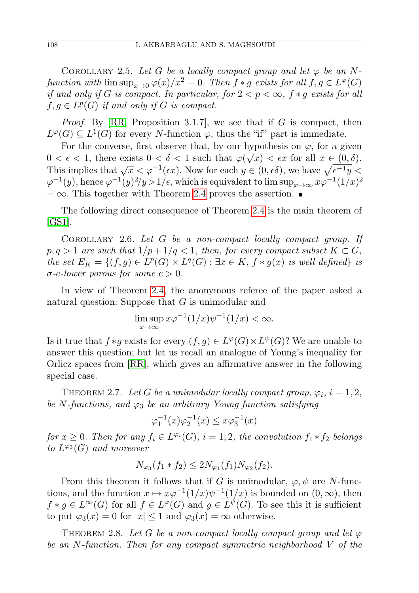<span id="page-9-0"></span>COROLLARY 2.5. Let G be a locally compact group and let  $\varphi$  be an Nfunction with  $\limsup_{x\to 0} \varphi(x)/x^2 = 0$ . Then  $f * g$  exists for all  $f, g \in L^{\varphi}(G)$ if and only if G is compact. In particular, for  $2 < p < \infty$ ,  $f * q$  exists for all  $f, g \in L^p(G)$  if and only if G is compact.

*Proof.* By  $[RR,$  Proposition 3.1.7, we see that if G is compact, then  $L^{\varphi}(G) \subseteq L^{1}(G)$  for every N-function  $\varphi$ , thus the "if" part is immediate.

For the converse, first observe that, by our hypothesis on  $\varphi$ , for a given  $0 < \epsilon < 1$ , there exists  $0 < \delta < 1$  such that  $\varphi(\sqrt{x}) < \epsilon x$  for all  $x \in (0, \delta)$ . This implies that  $\sqrt{x} < \varphi^{-1}(\epsilon x)$ . Now for each  $y \in (0, \epsilon \delta)$ , we have  $\sqrt{\epsilon^{-1}y} < \infty$  $\varphi^{-1}(y)$ , hence  $\varphi^{-1}(y)^2$ /y > 1/ $\epsilon$ , which is equivalent to lim sup<sub>x→∞</sub>  $x\varphi^{-1}(1/x)^2$  $=\infty$ . This together with Theorem [2.4](#page-6-1) proves the assertion.

The following direct consequence of Theorem [2.4](#page-6-1) is the main theorem of  $|GS1|$ .

COROLLARY 2.6. Let  $G$  be a non-compact locally compact group. If  $p, q > 1$  are such that  $1/p + 1/q < 1$ , then, for every compact subset  $K \subset G$ , the set  $E_K = \{(f, g) \in L^p(G) \times L^q(G) : \exists x \in K, f * g(x) \text{ is well defined}\}\$  $\sigma$ -c-lower porous for some  $c > 0$ .

In view of Theorem [2.4,](#page-6-1) the anonymous referee of the paper asked a natural question: Suppose that G is unimodular and

$$
\limsup_{x \to \infty} x \varphi^{-1}(1/x) \psi^{-1}(1/x) < \infty.
$$

Is it true that  $f * g$  exists for every  $(f,g) \in L^{\varphi}(G) \times L^{\psi}(G)$ ? We are unable to answer this question; but let us recall an analogue of Young's inequality for Orlicz spaces from [\[RR\]](#page-12-11), which gives an affirmative answer in the following special case.

THEOREM 2.7. Let G be a unimodular locally compact group,  $\varphi_i$ ,  $i = 1, 2$ , be N-functions, and  $\varphi_3$  be an arbitrary Young function satisfying

$$
\varphi_1^{-1}(x)\varphi_2^{-1}(x) \le x\varphi_3^{-1}(x)
$$

for  $x \geq 0$ . Then for any  $f_i \in L^{\varphi_i}(G)$ ,  $i = 1, 2$ , the convolution  $f_1 * f_2$  belongs to  $L^{\varphi_3}(G)$  and moreover

$$
N_{\varphi_3}(f_1 * f_2) \le 2N_{\varphi_1}(f_1)N_{\varphi_2}(f_2).
$$

From this theorem it follows that if G is unimodular,  $\varphi, \psi$  are N-functions, and the function  $x \mapsto x\varphi^{-1}(1/x)\psi^{-1}(1/x)$  is bounded on  $(0, \infty)$ , then  $f * g \in L^{\infty}(G)$  for all  $f \in L^{\varphi}(G)$  and  $g \in L^{\psi}(G)$ . To see this it is sufficient to put  $\varphi_3(x) = 0$  for  $|x| \leq 1$  and  $\varphi_3(x) = \infty$  otherwise.

THEOREM 2.8. Let G be a non-compact locally compact group and let  $\varphi$ be an  $N$ -function. Then for any compact symmetric neighborhood  $V$  of the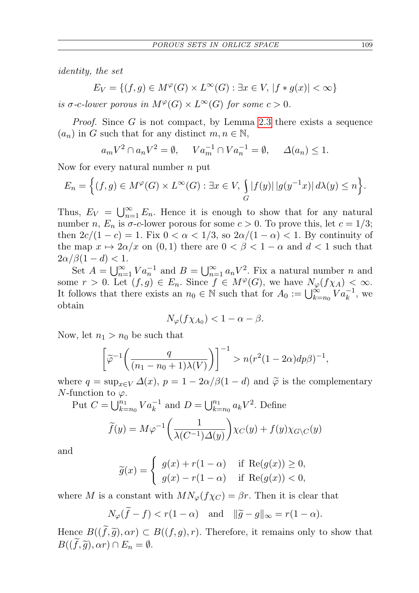identity, the set

$$
E_V = \{(f,g) \in M^{\varphi}(G) \times L^{\infty}(G) : \exists x \in V, |f * g(x)| < \infty\}
$$

is  $\sigma$ -c-lower porous in  $M^{\varphi}(G) \times L^{\infty}(G)$  for some  $c > 0$ .

*Proof.* Since  $G$  is not compact, by Lemma [2.3](#page-6-0) there exists a sequence  $(a_n)$  in G such that for any distinct  $m, n \in \mathbb{N}$ ,

$$
a_m V^2 \cap a_n V^2 = \emptyset
$$
,  $V a_m^{-1} \cap V a_n^{-1} = \emptyset$ ,  $\Delta(a_n) \le 1$ .

Now for every natural number  $n$  put

$$
E_n = \Big\{ (f,g) \in M^{\varphi}(G) \times L^{\infty}(G) : \exists x \in V, \int_G |f(y)| |g(y^{-1}x)| d\lambda(y) \le n \Big\}.
$$

Thus,  $E_V = \bigcup_{n=1}^{\infty} E_n$ . Hence it is enough to show that for any natural number n,  $E_n$  is  $\sigma$ -c-lower porous for some  $c > 0$ . To prove this, let  $c = 1/3$ ; then  $2c/(1-c) = 1$ . Fix  $0 < \alpha < 1/3$ , so  $2\alpha/(1-\alpha) < 1$ . By continuity of the map  $x \mapsto 2\alpha/x$  on  $(0, 1)$  there are  $0 < \beta < 1 - \alpha$  and  $d < 1$  such that  $2\alpha/\beta(1-d) < 1.$ 

Set  $A = \bigcup_{n=1}^{\infty} Va_n^{-1}$  and  $B = \bigcup_{n=1}^{\infty} a_n V^2$ . Fix a natural number n and some  $r > 0$ . Let  $(f, g) \in E_n$ . Since  $f \in M^{\varphi}(G)$ , we have  $N_{\varphi}(f \chi_A) < \infty$ . It follows that there exists an  $n_0 \in \mathbb{N}$  such that for  $A_0 := \bigcup_{k=n_0}^{\infty} Va_k^{-1}$ , we obtain

$$
N_{\varphi}(f\chi_{A_0}) < 1 - \alpha - \beta.
$$

Now, let  $n_1 > n_0$  be such that

$$
\left[\widetilde{\varphi}^{-1}\left(\frac{q}{(n_1-n_0+1)\lambda(V)}\right)\right]^{-1} > n(r^2(1-2\alpha)dp\beta)^{-1},
$$

where  $q = \sup_{x \in V} \Delta(x)$ ,  $p = 1 - 2\alpha/\beta(1 - d)$  and  $\tilde{\varphi}$  is the complementary N-function to  $\varphi$ .

Put 
$$
C = \bigcup_{k=n_0}^{n_1} Va_k^{-1}
$$
 and  $D = \bigcup_{k=n_0}^{n_1} a_k V^2$ . Define  
\n
$$
\widetilde{f}(y) = M\varphi^{-1}\left(\frac{1}{\lambda(C^{-1})\Delta(y)}\right)\chi_C(y) + f(y)\chi_{G\setminus C}(y)
$$

and

$$
\widetilde{g}(x) = \begin{cases} g(x) + r(1 - \alpha) & \text{if } \operatorname{Re}(g(x)) \ge 0, \\ g(x) - r(1 - \alpha) & \text{if } \operatorname{Re}(g(x)) < 0, \end{cases}
$$

where M is a constant with  $MN_{\varphi}(f\chi_C) = \beta r$ . Then it is clear that

$$
N_{\varphi}(\tilde{f} - f) < r(1 - \alpha)
$$
 and  $\|\tilde{g} - g\|_{\infty} = r(1 - \alpha)$ .

Hence  $B((\tilde{f},\tilde{g}),\alpha r) \subset B((f,g),r)$ . Therefore, it remains only to show that  $B((\tilde{f},\tilde{g}),\alpha r)\cap E_n=\emptyset.$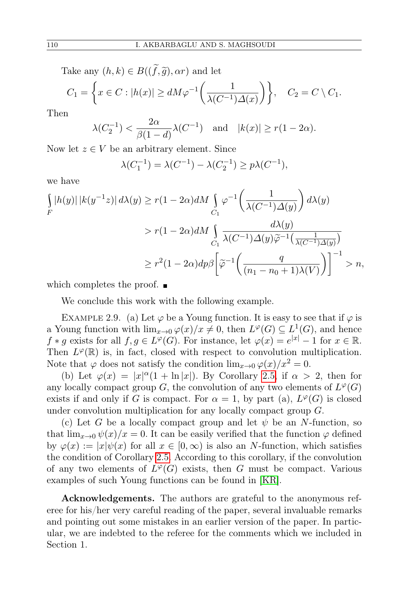Take any  $(h, k) \in B((\tilde{f}, \tilde{g}), \alpha r)$  and let

$$
C_1 = \left\{ x \in C : |h(x)| \ge dM\varphi^{-1}\left(\frac{1}{\lambda(C^{-1})\Delta(x)}\right) \right\}, \quad C_2 = C \setminus C_1.
$$

Then

$$
\lambda(C_2^{-1}) < \frac{2\alpha}{\beta(1-d)}\lambda(C^{-1}) \quad \text{and} \quad |k(x)| \ge r(1-2\alpha).
$$

Now let  $z \in V$  be an arbitrary element. Since

$$
\lambda(C_1^{-1}) = \lambda(C^{-1}) - \lambda(C_2^{-1}) \ge p\lambda(C^{-1}),
$$

we have

$$
\int_{F} |h(y)| |k(y^{-1}z)| d\lambda(y) \ge r(1 - 2\alpha) dM \int_{C_1} \varphi^{-1}\left(\frac{1}{\lambda(C^{-1})\Delta(y)}\right) d\lambda(y)
$$
  
>  $r(1 - 2\alpha) dM \int_{C_1} \frac{d\lambda(y)}{\lambda(C^{-1})\Delta(y)\widetilde{\varphi}^{-1}\left(\frac{1}{\lambda(C^{-1})\Delta(y)}\right)}$   
 $\ge r^2(1 - 2\alpha) dp\beta \left[\widetilde{\varphi}^{-1}\left(\frac{q}{(n_1 - n_0 + 1)\lambda(V)}\right)\right]^{-1} > n,$ 

which completes the proof.  $\blacksquare$ 

We conclude this work with the following example.

EXAMPLE 2.9. (a) Let  $\varphi$  be a Young function. It is easy to see that if  $\varphi$  is a Young function with  $\lim_{x\to 0} \varphi(x)/x \neq 0$ , then  $L^{\varphi}(G) \subseteq L^1(G)$ , and hence  $f * g$  exists for all  $f, g \in L^{\varphi}(G)$ . For instance, let  $\varphi(x) = e^{|x|} - 1$  for  $x \in \mathbb{R}$ . Then  $L^{\varphi}(\mathbb{R})$  is, in fact, closed with respect to convolution multiplication. Note that  $\varphi$  does not satisfy the condition  $\lim_{x\to 0} \varphi(x)/x^2 = 0$ .

(b) Let  $\varphi(x) = |x|^{\alpha}(1 + \ln|x|)$ . By Corollary [2.5,](#page-9-0) if  $\alpha > 2$ , then for any locally compact group G, the convolution of any two elements of  $L^{\varphi}(G)$ exists if and only if G is compact. For  $\alpha = 1$ , by part (a),  $L^{\varphi}(G)$  is closed under convolution multiplication for any locally compact group G.

(c) Let G be a locally compact group and let  $\psi$  be an N-function, so that  $\lim_{x\to 0} \psi(x)/x = 0$ . It can be easily verified that the function  $\varphi$  defined by  $\varphi(x) := |x|\psi(x)$  for all  $x \in [0,\infty)$  is also an N-function, which satisfies the condition of Corollary [2.5.](#page-9-0) According to this corollary, if the convolution of any two elements of  $L^{\varphi}(G)$  exists, then G must be compact. Various examples of such Young functions can be found in [\[KR\]](#page-12-10).

Acknowledgements. The authors are grateful to the anonymous referee for his/her very careful reading of the paper, several invaluable remarks and pointing out some mistakes in an earlier version of the paper. In particular, we are indebted to the referee for the comments which we included in Section 1.